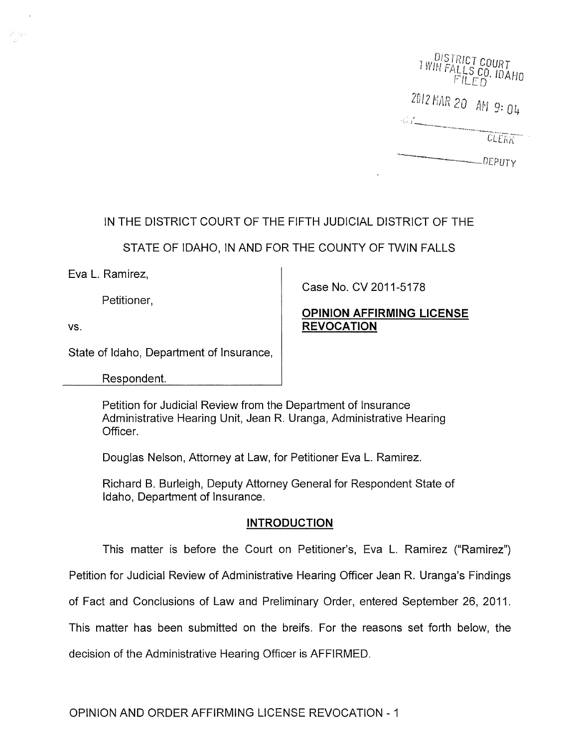I WIN FALLS COURT  $F$  $ILED$   $VAHO$ 2012 MAR 20 AM 9: 04 CLERK  $-$ DEPUTY

# IN THE DISTRICT COURT OF THE FIFTH JUDICIAL DISTRICT OF THE

STATE OF IDAHO, IN AND FOR THE COUNTY OF TWIN FALLS

Eva L. Ramirez,

Petitioner,

vs.

Case No. CV 2011-5178

## **OPINION AFFIRMING LICENSE REVOCATION**

State of Idaho, Department of Insurance,

Respondent.

Petition for Judicial Review from the Department of Insurance Administrative Hearing Unit, Jean R. Uranga, Administrative Hearing Officer.

Douglas Nelson, Attorney at Law, for Petitioner Eva L. Ramirez.

Richard B. Burleigh, Deputy Attorney General for Respondent State of Idaho, Department of Insurance,

## **INTRODUCTION**

This matter is before the Court on Petitioner's, Eva L. Ramirez ("Ramirez")

Petition for judicial Review of Administrative Hearing Officer Jean R. Uranga's Findings

of Fact and Conclusions of Law and Preliminary Order, entered September 26, 2011.

This matter has been submitted on the breifs. For the reasons set forth below, the

decision of the Administrative Hearing Officer is AFFIRMED.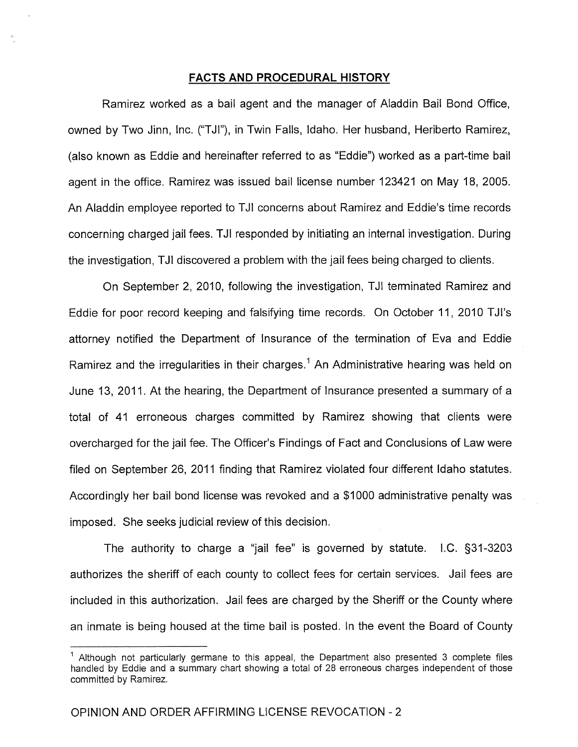## **FACTS AND PROCEDURAL HISTORY**

Ramirez worked as a bail agent and the manager of Aladdin Bail Bond Office, owned by Two Jinn, Inc. ("TJI"), in Twin Falls, Idaho. Her husband, Heriberto Ramirez, (also known as Eddie and hereinafter referred to as "Eddie") worked as a part-time bail agent in the office. Ramirez was issued bail license number 123421 on May 18, 2005. An Aladdin employee reported to TJI concerns about Ramirez and Eddie's time records concerning charged jail fees. T JI responded by initiating an internal investigation. During the investigation, TJI discovered a problem with the jail fees being charged to clients.

On September 2, 2010, following the investigation, TJI terminated Ramirez and Eddie for poor record keeping and falsifying time records. On October 11, 2010 TJI's attorney notified the Department of Insurance of the termination of Eva and Eddie Ramirez and the irregularities in their charges.<sup>1</sup> An Administrative hearing was held on June 13, 2011. At the hearing, the Department of Insurance presented a summary of a total of 41 erroneous charges committed by Ramirez showing that clients were overcharged for the jail fee. The Officer's Findings of Fact and Conclusions of Law were filed on September 26, 2011 finding that Ramirez violated four different Idaho statutes. Accordingly her bail bond license was revoked and a \$1000 administrative penalty was imposed. She seeks judicial review of this decision.

The authority to charge a "jail fee" is governed by statute. I.C. §31-3203 authorizes the sheriff of each county to collect fees for certain services. Jail fees are included in this authorization. Jail fees are charged by the Sheriff or the County where an inmate is being housed at the time bail is posted. In the event the Board of County

<sup>1</sup>Although not particularly germane to this appeal, the Department also presented 3 complete files handled by Eddie and a summary chart showing a total of 28 erroneous charges independent of those committed by Ramirez.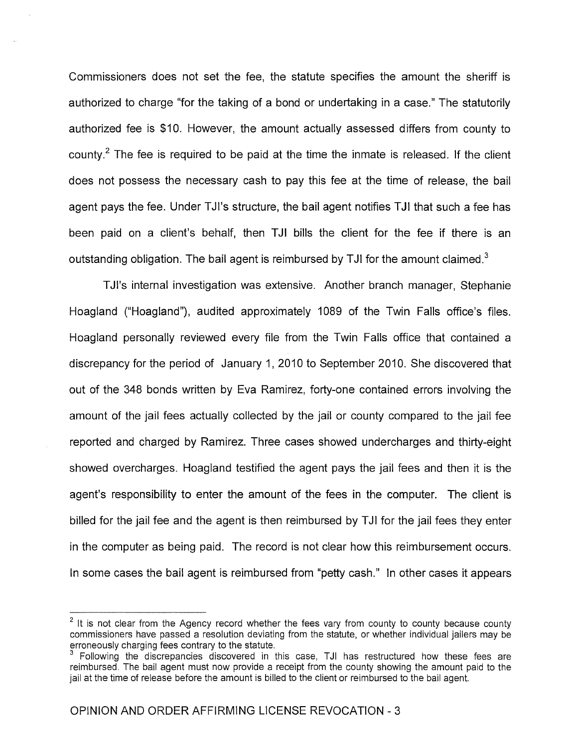Commissioners does not set the fee, the statute specifies the amount the sheriff is authorized to charge "for the taking of a bond or undertaking in a case." The statutorily authorized fee is \$10. However, the amount actually assessed differs from county to county.<sup>2</sup> The fee is required to be paid at the time the inmate is released. If the client does not possess the necessary cash to pay this fee at the time of release, the bail agent pays the fee. Under TJI's structure, the bail agent notifies TJI that such a fee has been paid on a client's behalf, then TJI bills the client for the fee if there is an outstanding obligation. The bail agent is reimbursed by TJI for the amount claimed.<sup>3</sup>

TJI's internal investigation was extensive. Another branch manager, Stephanie Hoagland ("Hoagland"), audited approximately 1089 of the Twin Falls office's files. Hoagland personally reviewed every file from the Twin Falls office that contained a discrepancy for the period of January 1, 2010 to September 2010. She discovered that out of the 348 bonds written by Eva Ramirez, forty-one contained errors involving the amount of the jail fees actually collected by the jail or county compared to the jail fee reported and charged by Ramirez. Three cases showed undercharges and thirty-eight showed overcharges. Hoagland testified the agent pays the jail fees and then it is the agent's responsibility to enter the amount of the fees in the computer. The client is billed for the jail fee and the agent is then reimbursed by TJI for the jail fees they enter in the computer as being paid. The record is not clear how this reimbursement occurs. In some cases the bail agent is reimbursed from "petty cash." In other cases it appears

 $2$  It is not clear from the Agency record whether the fees vary from county to county because county commissioners have passed a resolution deviating from the statute, or whether individual jailers may be erroneously charging fees contrary to the statute.

Following the discrepancies discovered in this case, TJI has restructured how these fees are reimbursed. The bail agent must now provide a receipt from the county showing the amount paid to the jail at the time of release before the amount is billed to the client or reimbursed to the bail agent.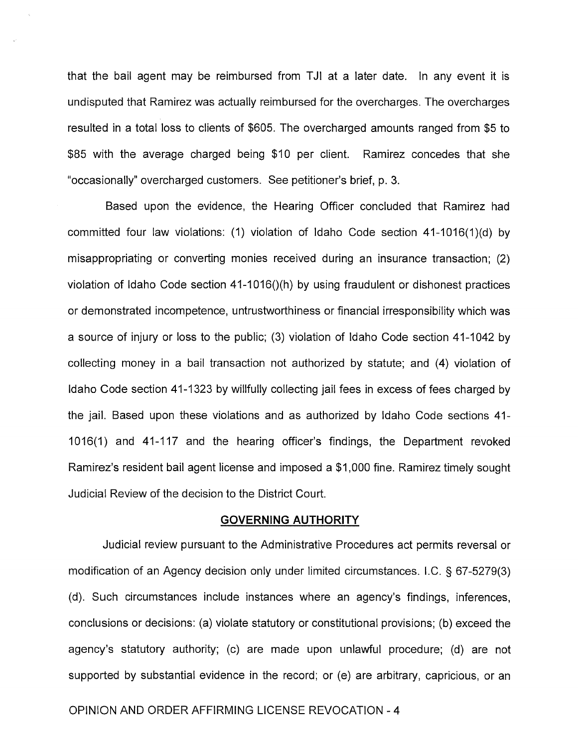that the bail agent may be reimbursed from TJI at a later date. In any event it is undisputed that Ramirez was actually reimbursed for the overcharges. The overcharges resulted in a total loss to clients of \$605. The overcharged amounts ranged from \$5 to \$85 with the average charged being \$10 per client. Ramirez concedes that she "occasionally" overcharged customers. See petitioner's brief, p. 3.

Based upon the evidence, the Hearing Officer concluded that Ramirez had committed four law violations: (1) violation of Idaho Code section  $41-1016(1)(d)$  by misappropriating or converting monies received during an insurance transaction; (2) violation of Idaho Code section  $41-1016$ ()(h) by using fraudulent or dishonest practices or demonstrated incompetence, untrustworthiness or financial irresponsibility which was a source of injury or loss to the public; (3) violation of Idaho Code section 41-1042 by collecting money in a bail transaction not authorized by statute; and (4) violation of Idaho Code section 41-1323 by willfully collecting jail fees in excess of fees charged by the jail. Based upon these violations and as authorized by Idaho Code sections 41- 1016(1) and 41-117 and the hearing officer's findings, the Department revoked Ramirez's resident bail agent license and imposed a \$1,000 fine. Ramirez timely sought Judicial Review of the decision to the District Court.

#### **GOVERNING AUTHORITY**

Judicial review pursuant to the Administrative Procedures act permits reversal or modification of an Agency decision only under limited circumstances. I.C. § 67-5279(3) (d). Such circumstances include instances where an agency's findings, inferences, conclusions or decisions: (a) violate statutory or constitutional provisions; (b) exceed the agency's statutory authority; (c) are made upon unlawful procedure; (d) are not supported by substantial evidence in the record; or (e) are arbitrary, capricious, or an

## OPINION AND ORDER AFFIRMING LICENSE REVOCATION - 4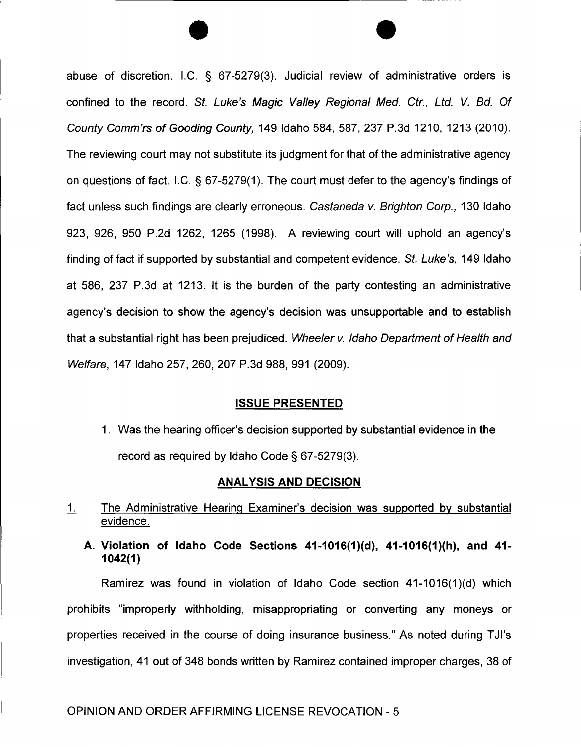abuse of discretion. I.C. § 67-5279(3). Judicial review of administrative orders is confined to the record. St. Luke's Magic Valley Regional Med. Ctr., Ltd. V. Bd. Of County Comm'rs of Gooding County, 149 Idaho 584,587,237 P.3d 1210, 1213 (2010). The reviewing court may not substitute its judgment for that of the administrative agency on questions of fact. I.C. § 67-5279(1). The court must defer to the agency's findings of fact unless such findings are clearly erroneous. Castaneda v. Brighton Corp., 130 Idaho 923, 926, 950 P.2d 1262, 1265 (1998). A reviewing court will uphold an agency's finding of fact if supported by substantial and competent evidence. St. Luke's, 149 Idaho at 586, 237 P.3d at 1213. It is the burden of the party contesting an administrative agency's decision to show the agency's decision was unsupportable and to establish that a substantial right has been prejudiced. Wheeler v. Idaho Department of Health and Welfare, 147 Idaho 257, 260, 207 P.3d 988, 991 (2009).

 $\overline{\bullet}$ 

### **ISSUE PRESENTED**

1. Was the hearing officer's decision supported by substantial evidence in the record as required by Idaho Code § 67-5279(3).

### **ANALYSIS AND DECISION**

- 1. The Administrative Hearing Examiner's decision was supported by substantial evidence.
	- **A. Violation of Idaho Code Sections 41-1016(1)(d), 41-1016(1)(h), and 41- 1042(1)**

Ramirez was found in violation of Idaho Code section 41-1016(1)(d) which prohibits "improperly withholding, misappropriating or converting any moneys or properties received in the course of doing insurance business." As noted during TJI's investigation, 41 out of 348 bonds written by Ramirez contained improper charges, 38 of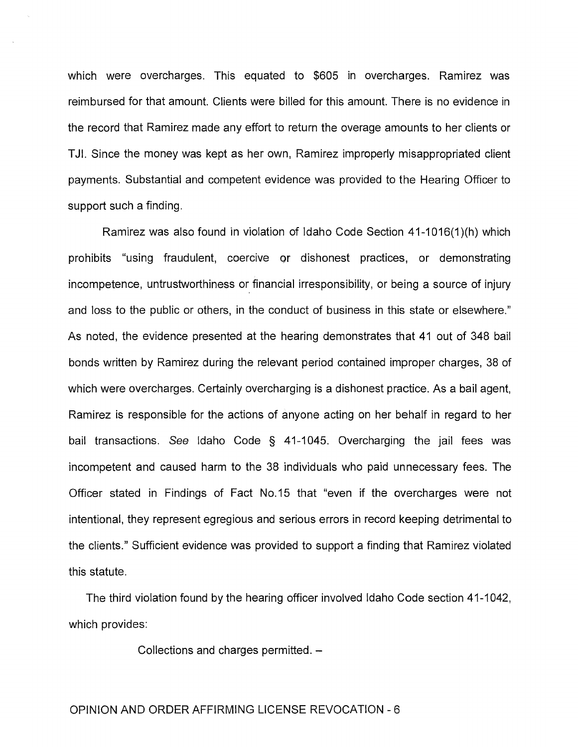which were overcharges. This equated to \$605 in overcharges. Ramirez was reimbursed for that amount. Clients were billed for this amount. There is no evidence in the record that Ramirez made any effort to return the overage amounts to her clients or TJI. Since the money was kept as her own, Ramirez improperly misappropriated client payments. Substantial and competent evidence was provided to the Hearing Officer to support such a finding.

Ramirez was also found in violation of Idaho Code Section 41-1016(1)(h) which prohibits "using fraudulent, coercive Qr dishonest practices, or demonstrating incompetence, untrustworthiness or financial irresponsibility, or being a source of injury and loss to the public or others, in the conduct of business in this state or elsewhere." As noted, the evidence presented at the hearing demonstrates that 41 out of 348 bail bonds written by Ramirez during the relevant period contained improper charges, 38 of which were overcharges. Certainly overcharging is a dishonest practice. As a bail agent, Ramirez is responsible for the actions of anyone acting on her behalf in regard to her bail transactions. See Idaho Code § 41-1045. Overcharging the jail fees was incompetent and caused harm to the 38 individuals who paid unnecessary fees. The Officer stated in Findings of Fact No.15 that "even if the overcharges were not intentional, they represent egregious and serious errors in record keeping detrimental to the clients." Sufficient evidence was provided to support a finding that Ramirez violated this statute.

The third violation found by the hearing officer involved Idaho Code section 41-1042, which provides:

Collections and charges permitted.  $-$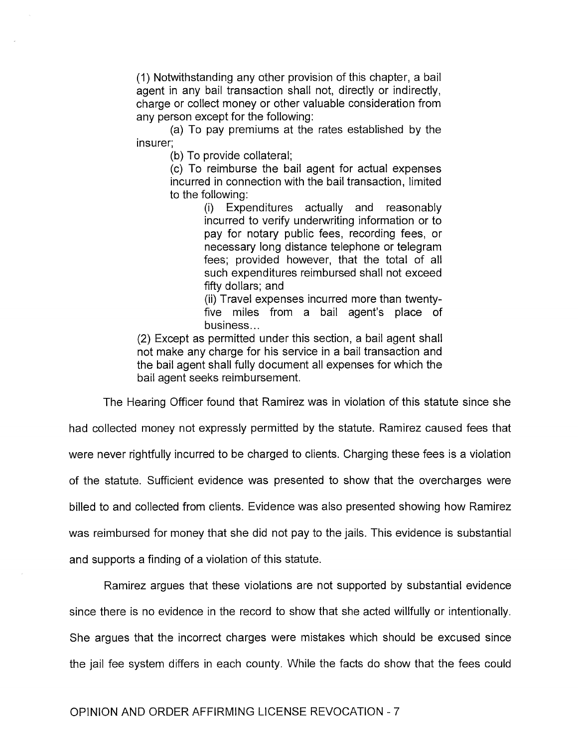(1) Notwithstanding any other provision of this chapter, a bail agent in any bail transaction shall not, directly or indirectly, charge or collect money or other valuable consideration from any person except for the following:

(a) To pay premiums at the rates established by the insurer;

(b) To provide collateral;

(c) To reimburse the bail agent for actual expenses incurred in connection with the bail transaction, limited to the following:

> (i) Expenditures actually and reasonably incurred to verify underwriting information or to pay for notary public fees, recording fees, or necessary long distance telephone or telegram fees; provided however, that the total of all such expenditures reimbursed shall not exceed fifty dollars; and

> (ii) Travel expenses incurred more than twentyfive miles from a bail agent's place of business ...

(2) Except as permitted under this section, a bail agent shall not make any charge for his service in a bail transaction and the bail agent shall fully document all expenses for which the bail agent seeks reimbursement.

The Hearing Officer found that Ramirez was in violation of this statute since she

had collected money not expressly permitted by the statute. Ramirez caused fees that were never rightfully incurred to be charged to clients. Charging these fees is a violation of the statute. Sufficient evidence was presented to show that the overcharges were billed to and collected from clients. Evidence was also presented showing how Ramirez was reimbursed for money that she did not pay to the jails. This evidence is substantial and supports a finding of a violation of this statute.

Ramirez argues that these violations are not supported by substantial evidence since there is no evidence in the record to show that she acted willfully or intentionally. She argues that the incorrect charges were mistakes which should be excused since the jail fee system differs in each county. While the facts do show that the fees could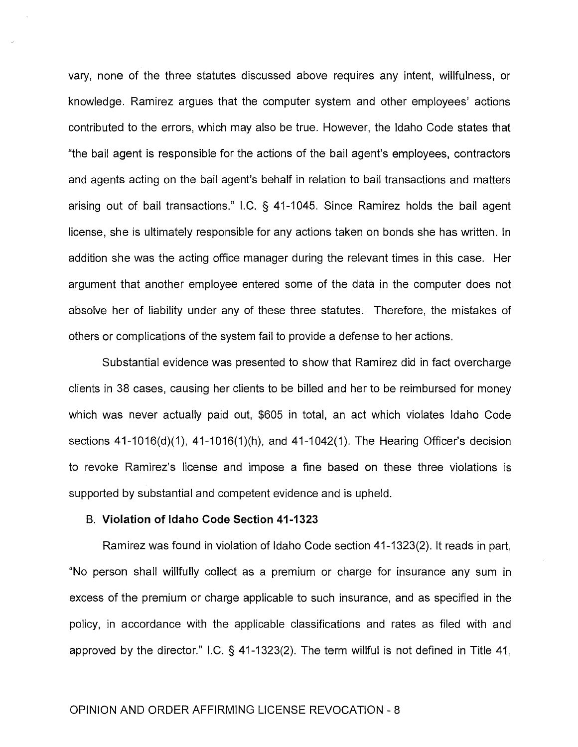vary, none of the three statutes discussed above requires any intent, willfulness, or knowledge. Ramirez argues that the computer system and other employees' actions contributed to the errors, which may also be true. However, the Idaho Code states that "the bail agent is responsible for the actions of the bail agent's employees, contractors and agents acting on the bail agent's behalf in relation to bail transactions and matters arising out of bail transactions." I.C. § 41-1045. Since Ramirez holds the bail agent license, she is ultimately responsible for any actions taken on bonds she has written. In addition she was the acting office manager during the relevant times in this case. Her argument that another employee entered some of the data in the computer does not absolve her of liability under any of these three statutes. Therefore, the mistakes of others or complications of the system fail to provide a defense to her actions.

Substantial evidence was presented to show that Ramirez did in fact overcharge clients in 38 cases, causing her clients to be billed and her to be reimbursed for money which was never actually paid out, \$605 in total, an act which violates Idaho Code sections 41-1016(d)(1), 41-1016(1)(h), and 41-1042(1). The Hearing Officer's decision to revoke Ramirez's license and impose a fine based on these three violations is supported by substantial and competent evidence and is upheld.

### B. **Violation of Idaho Code Section 41-1323**

Ramirez was found in violation of Idaho Code section 41-1323(2). It reads in part, "No person shall willfully collect as a premium or charge for insurance any sum in excess of the premium or charge applicable to such insurance, and as specified in the policy, in accordance with the applicable classifications and rates as filed with and approved by the director." I.C. § 41-1323(2). The term willful is not defined in Title 41,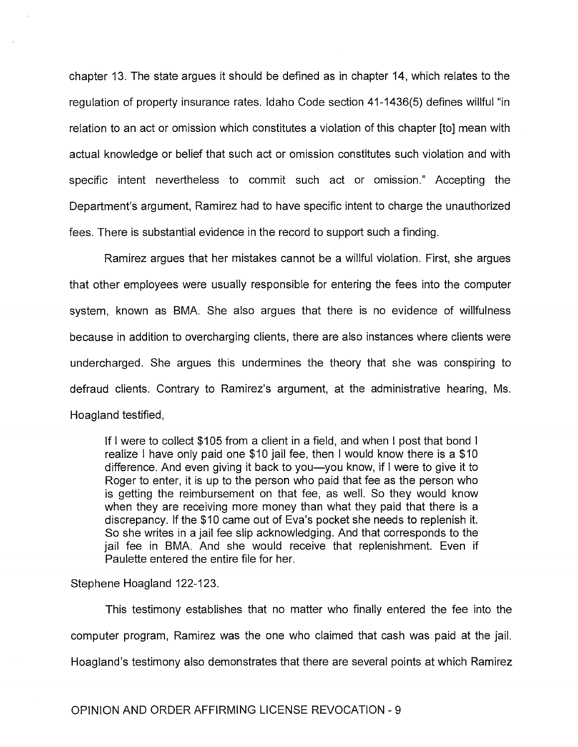chapter 13. The state argues it should be defined as in chapter 14, which relates to the regulation of property insurance rates. Idaho Code section 41-1436(5) defines willful "in relation to an act or omission which constitutes a violation of this chapter [to] mean with actual knowledge or belief that such act or omission constitutes such violation and with specific intent nevertheless to commit such act or omission." Accepting the Department's argument, Ramirez had to have specific intent to charge the unauthorized fees. There is substantial evidence in the record to support such a finding.

Ramirez argues that her mistakes cannot be a willful violation. First, she argues that other employees were usually responsible for entering the fees into the computer system, known as SMA. She also argues that there is no evidence of willfulness because in addition to overcharging clients, there are also instances where clients were undercharged. She argues this undermines the theory that she was conspiring to defraud clients. Contrary to Ramirez's argument, at the administrative hearing, Ms. Hoagland testified,

If I were to collect \$105 from a client in a field, and when I post that bond I realize I have only paid one \$10 jail fee, then I would know there is a \$10 difference. And even giving it back to you—you know, if I were to give it to Roger to enter, it is up to the person who paid that fee as the person who is getting the reimbursement on that fee, as well. So they would know when they are receiving more money than what they paid that there is a discrepancy. If the \$10 came out of Eva's pocket she needs to replenish it. So she writes in a jail fee slip acknowledging. And that corresponds to the jail fee in SMA. And she would receive that replenishment. Even if Paulette entered the entire file for her.

Stephene Hoagland 122-123.

This testimony establishes that no matter who finally entered the fee into the computer program, Ramirez was the one who claimed that cash was paid at the jail. Hoagland's testimony also demonstrates that there are several points at which Ramirez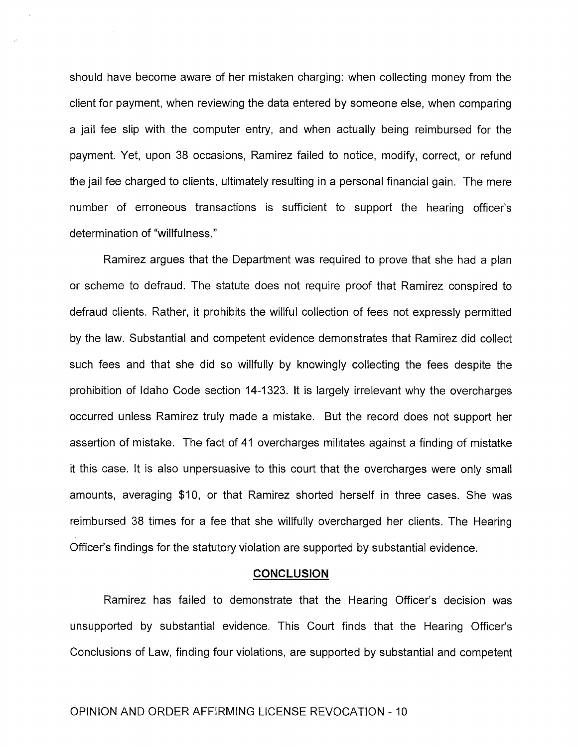should have become aware of her mistaken charging: when collecting money from the client for payment, when reviewing the data entered by someone else, when comparing a jail fee slip with the computer entry, and when actually being reimbursed for the payment. Yet, upon 38 occasions, Ramirez failed to notice, modify, correct, or refund the jail fee charged to clients, ultimately resulting in a personal financial gain. The mere number of erroneous transactions is sufficient to support the hearing officer's determination of "willfulness."

Ramirez argues that the Department was required to prove that she had a plan or scheme to defraud. The statute does not require proof that Ramirez conspired to defraud clients. Rather, it prohibits the willful collection of fees not expressly permitted by the law. Substantial and competent evidence demonstrates that Ramirez did collect such fees and that she did so willfully by knowingly collecting the fees despite the prohibition of Idaho Code section 14-1323. It is largely irrelevant why the overcharges occurred unless Ramirez truly made a mistake. But the record does not support her assertion of mistake. The fact of 41 overcharges militates against a finding of mistatke it this case. It is also unpersuasive to this court that the overcharges were only small amounts, averaging \$10, or that Ramirez shorted herself in three cases. She was reimbursed 38 times for a fee that she willfully overcharged her clients. The Hearing Officer's findings for the statutory violation are supported by substantial evidence.

#### **CONCLUSION**

Ramirez has failed to demonstrate that the Hearing Officer's decision was unsupported by substantial evidence. This Court finds that the Hearing Officer's Conclusions of Law, finding four violations, are supported by substantial and competent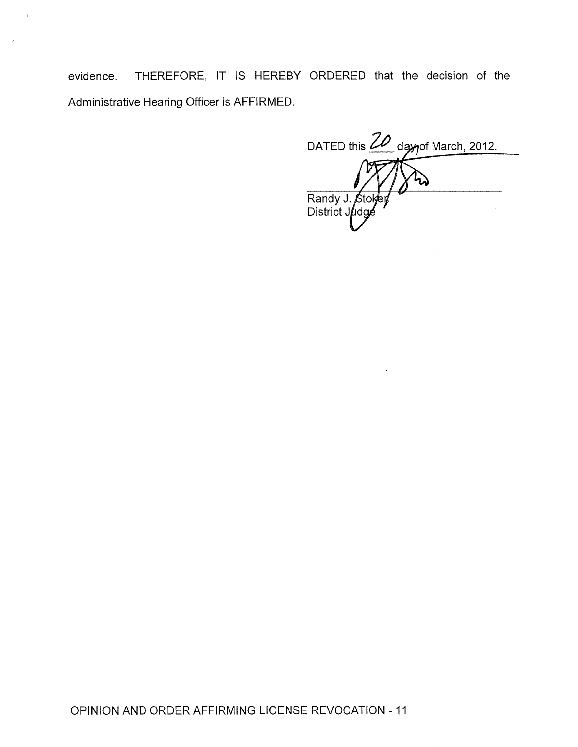evidence. THEREFORE, IT IS HEREBY ORDERED that the decision of the Administrative Hearing Officer is AFFIRMED.

 $\hat{k}$ 

DATED this 20 day of March, 2012. Randy J. Stol<br>District Judge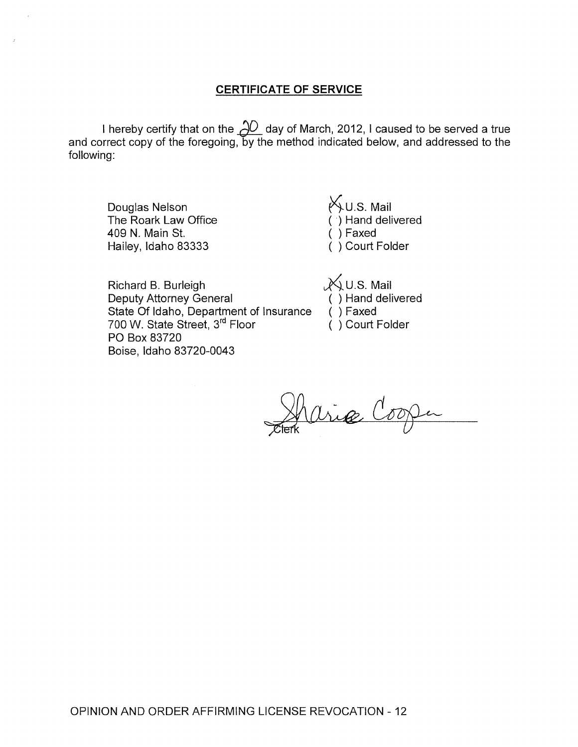## **CERTIFICATE OF SERVICE**

I hereby certify that on the  $\cancel{\Delta\!O}$  day of March, 2012, I caused to be served a true and correct copy of the foregoing, by the method indicated below, and addressed to the following:

Douglas Nelson The Roark Law Office 409 N. Main St. Hailey, Idaho 83333

(^) U.S. Mail ( ') Hand delivered ( ) Faxed ( ) Court Folder

Richard B. Burleigh Deputy Attorney General State Of Idaho, Department of Insurance 700 W. State Street, 3rd Floor PO Box 83720 Boise, Idaho 83720-0043

 $X$ U.S. Mail ( ) Hand delivered ( ) Faxed ( ) Court Folder

Sharice Cooper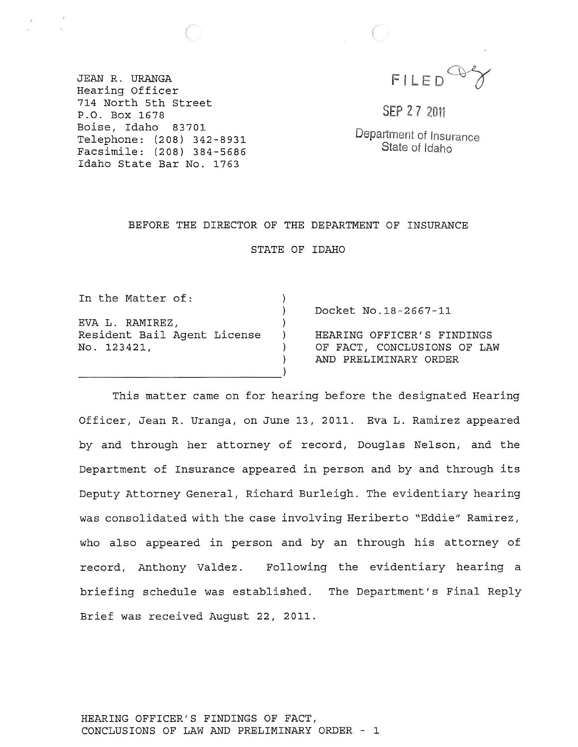FILED

JEAN R. URANGA Hearing Officer 714 North 5th street P.O. Box 1678 Boise, Idaho 83701 Telephone: (208) 342-8931 Facsimile: (208) 384-5686 Idaho State Bar No. 1763

SEP 27 2011

Department of Insurance State of Idaho

#### BEFORE THE DIRECTOR OF THE DEPARTMENT OF INSURANCE

STATE OF IDAHO

) ) ) ) ) )

In the Matter of: EVA L. RAMIREZ, Resident Bail Agent License No. 123421,

-------------------------------)

Docket No.18-2667-11

HEARING OFFICER'S FINDINGS OF FACT, CONCLUSIONS OF LAW AND PRELIMINARY ORDER

This matter came on for hearing before the designated Hearing Officer, Jean R. Uranga, on June 13, 2011. Eva L. Ramirez appeared by and through her attorney of record, Douglas Nelson, and the Department of Insurance appeared in person and by and through its Deputy Attorney General, Richard Burleigh. The evidentiary hearing was consolidated with the case involving Heriberto "Eddie" Ramirez, who also appeared in person and by an through his attorney of record, Anthony Valdez. Following the evidentiary hearing a briefing schedule was established. The Department's Final Reply Brief was received August 22, 2011.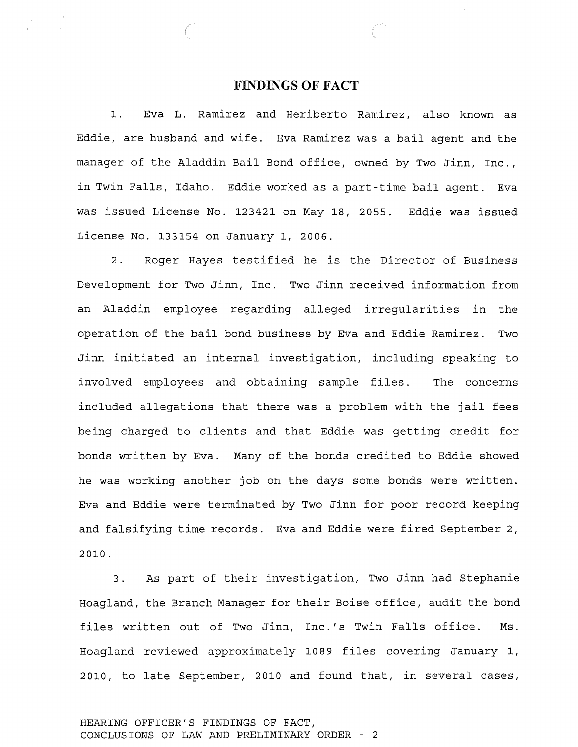## **FINDINGS OF FACT**

1. Eva L. Ramirez and Heriberto Ramirez, also known as Eddie, are husband and wife. Eva Ramirez was a bail agent and the manager of the Aladdin Bail Bond office, owned by Two Jinn, Inc., in Twin Falls, Idaho. Eddie worked as a part-time bail agent. Eva was issued License No. 123421 on May 18, 2055. Eddie was issued License No. 133154 on January 1, 2006.

2. Roger Hayes testified he is the Director of Business Development for Two Jinn, Inc. Two Jinn received information from an Aladdin employee regarding alleged irregularities in the operation of the bail bond business by Eva and Eddie Ramirez. Two Jinn initiated an internal investigation, including speaking to involved employees and obtaining sample files. The concerns included allegations that there was a problem with the jail fees being charged to clients and that Eddie was getting credit for bonds written by Eva. Many of the bonds credited to Eddie showed he was working another job on the days some bonds were written. Eva and Eddie were terminated by Two Jinn for poor record keeping and falsifying time records. Eva and Eddie were fired September 2, 2010.

3. As part of their investigation, Two Jinn had Stephanie Hoagland, the Branch Manager for their Boise office, audit the bond files written out of Two Jinn, Inc.'s Twin Falls office. Ms. Hoagland reviewed approximately 1089 files covering January 1, 2010, to late September, 2010 and found that, in several cases,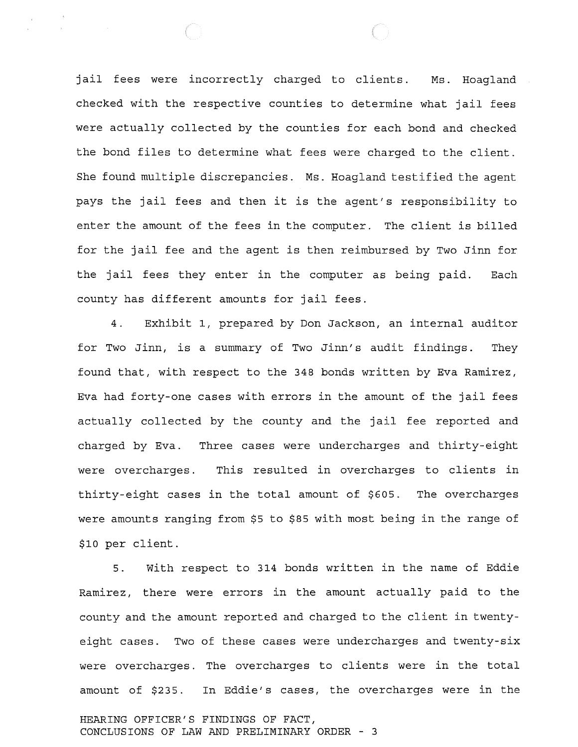jail fees were incorrectly charged to clients. Ms. Hoagland checked with the respective counties to determine what jail fees were actually collected by the counties for each bond and checked the bond files to determine what fees were charged to the client. She found multiple discrepancies. Ms. Hoagland testified the agent pays the jail fees and then it is the agent's responsibility to enter the amount of the fees in the computer. The client is billed for the jail fee and the agent is then reimbursed by Two Jinn for the jail fees they enter in the computer as being paid. Each county has different amounts for jail fees.

4. Exhibit I, prepared by Don Jackson, an internal auditor for Two Jinn, is a summary of Two Jinn's audit findings. They found that, with respect to the 348 bonds written by Eva Ramirez, Eva had forty-one cases with errors in the amount of the jail fees actually collected by the county and the jail fee reported and charged by Eva. Three cases were undercharges and thirty-eight were overcharges. This resulted in overcharges to clients in thirty-eight cases in the total amount of \$605. The overcharges were amounts ranging from \$5 to \$85 with most being in the range of \$10 per client.

5. With respect to 314 bonds written in the name of Eddie Ramirez, there were errors in the amount actually paid to the county and the amount reported and charged to the client in twentyeight cases. Two of these cases were undercharges and twenty-six were overcharges. The overcharges to clients were in the total amount of \$235. In Eddie's cases, the overcharges were in the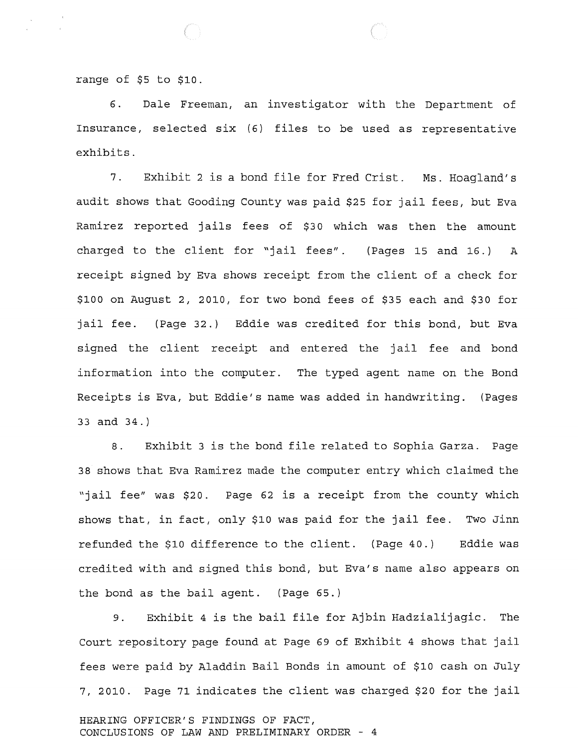range of \$5 to \$10.

6. Dale Freeman, an investigator with the Department of Insurance, selected six (6) files to be used as representative exhibits.

7. Exhibit 2 is a bond file for Fred crist. Ms. Hoagland's audit shows that Gooding county was paid \$25 for jail fees, but Eva Ramirez reported jails fees of \$30 which was then the amount charged to the client for "jail fees". (Pages 15 and 16.) A receipt signed by Eva shows receipt from the client of a check for \$100 on August 2, 2010, for two bond fees of \$35 each and \$30 for jail fee. (Page 32.) Eddie was credited for this bond, but Eva signed the client receipt and entered the jail fee and bond information into the computer. The typed agent name on the Bond Receipts is Eva, but Eddie's name was added in handwriting. (Pages 33 and 34.)

8. Exhibit 3 is the bond file related to Sophia Garza. Page 38 shows that Eva Ramirez made the computer entry which claimed the "jail fee" was \$20. Page 62 is a receipt from the county which shows that, in fact, only \$10 was paid for the jail fee. Two Jinn refunded the \$10 difference to the client. (Page 40.) Eddie was credited with and signed this bond, but Eva's name also appears on the bond as the bail agent. (Page 65.)

9. Exhibit 4 is the bail file for Ajbin Hadzialijagic. The Court repository page found at Page 69 of Exhibit 4 shows that jail fees were paid by Aladdin Bail Bonds in amount of \$10 cash on July 7, 2010. Page 71 indicates the client was charged \$20 for the jail HEARING OFFICER'S FINDINGS OF FACT, CONCLUSIONS OF LAW AND PRELIMINARY ORDER - 4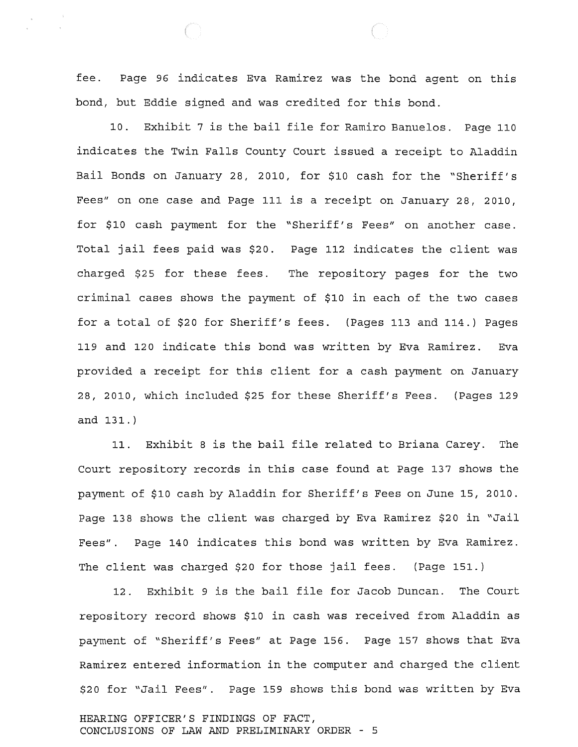fee. Page 96 indicates Eva Ramirez was the bond agent on this bond, but Eddie signed and was credited for this bond.

10. Exhibit 7 is the bail file for Ramiro Banuelos. Page 110 indicates the Twin Falls County Court issued a receipt to Aladdin Bail Bonds on January 28, 2010, for \$10 cash for the "Sheriff's Fees" on one case and Page 111 is a receipt on January 28, 2010, for \$10 cash payment for the "Sheriff's Fees" on another case. Total jail fees paid was \$20. Page 112 indicates the client was charged \$25 for these fees. The repository pages for the two criminal cases shows the payment of \$10 in each of the two cases for a total of \$20 for Sheriff's fees. (Pages 113 and 114.) Pages 119 and 120 indicate this bond was written by Eva Ramirez. Eva provided a receipt for this client for a cash payment on January 28, 2010, which included \$25 for these Sheriff's Fees. (Pages 129 and 131.)

11. Exhibit 8 is the bail file related to Briana Carey. The Court repository records in this case found at Page 137 shows the payment of \$10 cash by Aladdin for Sheriff's Fees on June 15, 2010. Page 138 shows the client was charged by Eva Ramirez \$20 in "Jail Fees" . Page 140 indicates this bond was written by Eva Ramirez. The client was charged \$20 for those jail fees. (Page 151.)

12. Exhibit 9 is the bail file for Jacob Duncan. The Court repository record shows \$10 in cash was received from Aladdin as payment of "Sheriff's Fees" at Page 156. Page 157 shows that Eva Ramirez entered information in the computer and charged the client \$20 for nJail Fees". Page 159 shows this bond was written by Eva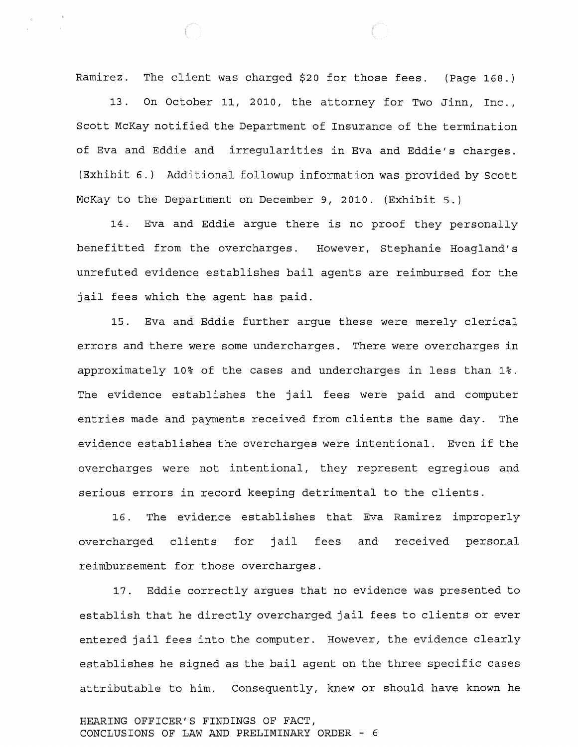Ramirez. The client was charged \$20 for those fees. (Page 168.)

13. On October 11, 2010, the attorney for Two Jinn, Inc., Scott McKay notified the Department of Insurance of the termination of Eva and Eddie and irregularities in Eva and Eddie's charges. (Exhibit 6.) Additional followup information was provided by Scott McKay to the Department on December 9, 2010. (Exhibit 5.)

14. Eva and Eddie argue there is no proof they personally benefitted from the overcharges. However, Stephanie Hoagland's unrefuted evidence establishes bail agents are reimbursed for the jail fees which the agent has paid.

15. Eva and Eddie further argue these were merely clerical errors and there were some undercharges. There were overcharges in approximately 10% of the cases and undercharges in less than 1%. The evidence establishes the jail fees were paid and computer entries made and payments received from clients the same day. The evidence establishes the overcharges were intentional. Even if the overcharges were not intentional, they represent egregious and serious errors in record keeping detrimental to the clients.

16. The evidence establishes that Eva Ramirez improperly overcharged clients for jail fees and received personal reimbursement for those overcharges.

17. Eddie correctly argues that no evidence was presented to establish that he directly overcharged jail fees to clients or ever entered jail fees into the computer. However, the evidence clearly establishes he signed as the bail agent on the three specific cases attributable to him. Consequently, knew or should have known he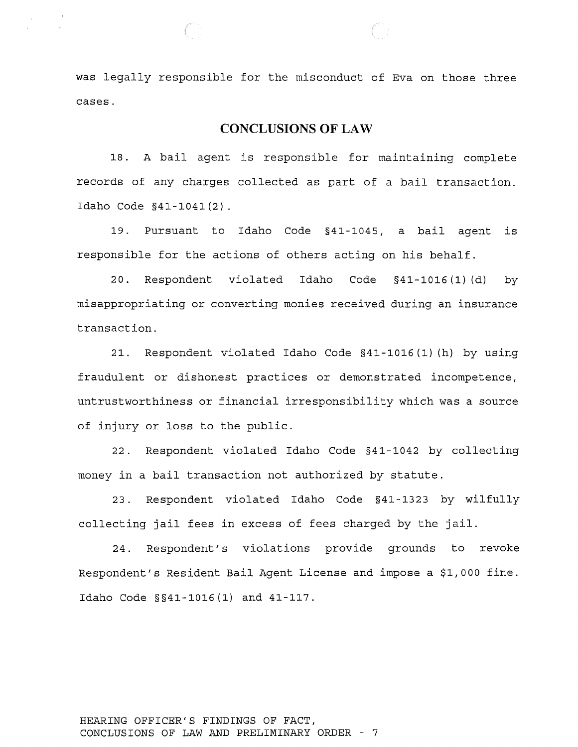was legally responsible for the misconduct of Eva on those three cases.

## **CONCLUSIONS OF LAW**

18. A bail agent is responsible for maintaining complete records of any charges collected as part of a bail transaction. Idaho Code §41-1041(2).

19. Pursuant to Idaho Code §41-1045, a bail agent is responsible for the actions of others acting on his behalf.

20. Respondent violated Idaho Code §41-1016 (1) (d) by misappropriating or converting monies received during an insurance transaction.

21. Respondent violated Idaho Code §41-1016(1) (h) by using fraudulent or dishonest practices or demonstrated incompetence, untrustworthiness or financial irresponsibility which was a source of injury or loss to the public.

22. Respondent violated Idaho Code §41-1042 by collecting money in a bail transaction not authorized by statute.

23. Respondent violated Idaho Code §41-1323 by wilfully collecting jail fees in excess of fees charged by the jail.

24. Respondent's violations provide grounds to revoke Respondent's Resident Bail Agent License and impose a \$1,000 fine. Idaho Code §§41-1016(1) and 41-117.